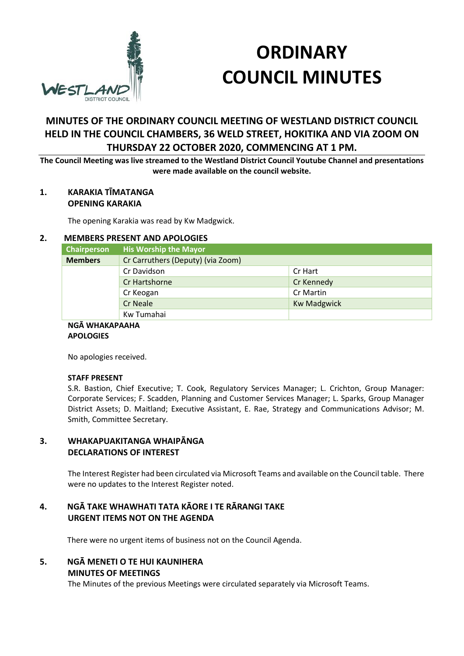

# **ORDINARY COUNCIL MINUTES**

# **MINUTES OF THE ORDINARY COUNCIL MEETING OF WESTLAND DISTRICT COUNCIL HELD IN THE COUNCIL CHAMBERS, 36 WELD STREET, HOKITIKA AND VIA ZOOM ON THURSDAY 22 OCTOBER 2020, COMMENCING AT 1 PM.**

**The Council Meeting was live streamed to the Westland District Council Youtube Channel and presentations were made available on the council website.**

#### **1. KARAKIA TĪMATANGA OPENING KARAKIA**

The opening Karakia was read by Kw Madgwick.

### **2. MEMBERS PRESENT AND APOLOGIES**

| Chairperson    | <b>His Worship the Mayor</b>      |                    |
|----------------|-----------------------------------|--------------------|
| <b>Members</b> | Cr Carruthers (Deputy) (via Zoom) |                    |
|                | Cr Davidson                       | Cr Hart            |
|                | Cr Hartshorne                     | Cr Kennedy         |
|                | Cr Keogan                         | Cr Martin          |
|                | Cr Neale                          | <b>Kw Madgwick</b> |
|                | Kw Tumahai                        |                    |

#### **NGĀ WHAKAPAAHA APOLOGIES**

No apologies received.

#### **STAFF PRESENT**

S.R. Bastion, Chief Executive; T. Cook, Regulatory Services Manager; L. Crichton, Group Manager: Corporate Services; F. Scadden, Planning and Customer Services Manager; L. Sparks, Group Manager District Assets; D. Maitland; Executive Assistant, E. Rae, Strategy and Communications Advisor; M. Smith, Committee Secretary.

# **3. WHAKAPUAKITANGA WHAIPĀNGA DECLARATIONS OF INTEREST**

The Interest Register had been circulated via Microsoft Teams and available on the Council table. There were no updates to the Interest Register noted.

# **4. NGĀ TAKE WHAWHATI TATA KĀORE I TE RĀRANGI TAKE URGENT ITEMS NOT ON THE AGENDA**

There were no urgent items of business not on the Council Agenda.

# **5. NGĀ MENETI O TE HUI KAUNIHERA MINUTES OF MEETINGS**

The Minutes of the previous Meetings were circulated separately via Microsoft Teams.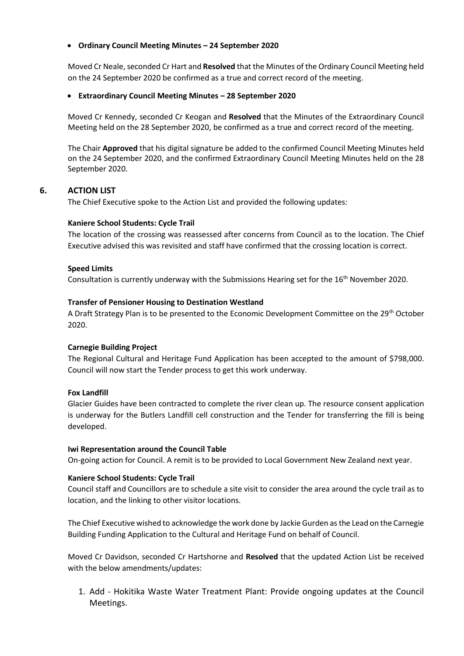#### **Ordinary Council Meeting Minutes – 24 September 2020**

Moved Cr Neale, seconded Cr Hart and **Resolved** that the Minutes of the Ordinary Council Meeting held on the 24 September 2020 be confirmed as a true and correct record of the meeting.

#### **Extraordinary Council Meeting Minutes – 28 September 2020**

Moved Cr Kennedy, seconded Cr Keogan and **Resolved** that the Minutes of the Extraordinary Council Meeting held on the 28 September 2020, be confirmed as a true and correct record of the meeting.

The Chair **Approved** that his digital signature be added to the confirmed Council Meeting Minutes held on the 24 September 2020, and the confirmed Extraordinary Council Meeting Minutes held on the 28 September 2020.

#### **6. ACTION LIST**

The Chief Executive spoke to the Action List and provided the following updates:

#### **Kaniere School Students: Cycle Trail**

The location of the crossing was reassessed after concerns from Council as to the location. The Chief Executive advised this was revisited and staff have confirmed that the crossing location is correct.

#### **Speed Limits**

Consultation is currently underway with the Submissions Hearing set for the 16<sup>th</sup> November 2020.

#### **Transfer of Pensioner Housing to Destination Westland**

A Draft Strategy Plan is to be presented to the Economic Development Committee on the  $29<sup>th</sup>$  October 2020.

#### **Carnegie Building Project**

The Regional Cultural and Heritage Fund Application has been accepted to the amount of \$798,000. Council will now start the Tender process to get this work underway.

#### **Fox Landfill**

Glacier Guides have been contracted to complete the river clean up. The resource consent application is underway for the Butlers Landfill cell construction and the Tender for transferring the fill is being developed.

#### **Iwi Representation around the Council Table**

On-going action for Council. A remit is to be provided to Local Government New Zealand next year.

#### **Kaniere School Students: Cycle Trail**

Council staff and Councillors are to schedule a site visit to consider the area around the cycle trail as to location, and the linking to other visitor locations.

The Chief Executive wished to acknowledge the work done by Jackie Gurden as the Lead on the Carnegie Building Funding Application to the Cultural and Heritage Fund on behalf of Council.

Moved Cr Davidson, seconded Cr Hartshorne and **Resolved** that the updated Action List be received with the below amendments/updates:

1. Add - Hokitika Waste Water Treatment Plant: Provide ongoing updates at the Council Meetings.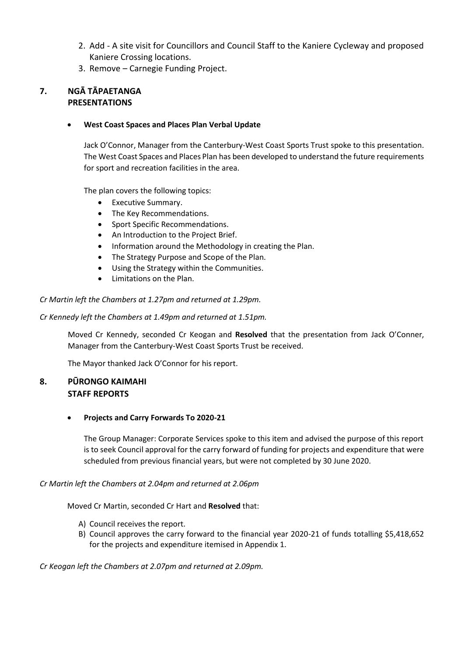- 2. Add A site visit for Councillors and Council Staff to the Kaniere Cycleway and proposed Kaniere Crossing locations.
- 3. Remove Carnegie Funding Project.

# **7. NGĀ TĀPAETANGA PRESENTATIONS**

#### **West Coast Spaces and Places Plan Verbal Update**

Jack O'Connor, Manager from the Canterbury-West Coast Sports Trust spoke to this presentation. The West Coast Spaces and Places Plan has been developed to understand the future requirements for sport and recreation facilities in the area.

The plan covers the following topics:

- Executive Summary.
- The Key Recommendations.
- Sport Specific Recommendations.
- An Introduction to the Project Brief.
- Information around the Methodology in creating the Plan.
- The Strategy Purpose and Scope of the Plan.
- Using the Strategy within the Communities.
- Limitations on the Plan.

#### *Cr Martin left the Chambers at 1.27pm and returned at 1.29pm.*

*Cr Kennedy left the Chambers at 1.49pm and returned at 1.51pm.*

Moved Cr Kennedy, seconded Cr Keogan and **Resolved** that the presentation from Jack O'Conner, Manager from the Canterbury-West Coast Sports Trust be received.

The Mayor thanked Jack O'Connor for his report.

# **8. PŪRONGO KAIMAHI STAFF REPORTS**

#### **Projects and Carry Forwards To 2020-21**

The Group Manager: Corporate Services spoke to this item and advised the purpose of this report is to seek Council approval for the carry forward of funding for projects and expenditure that were scheduled from previous financial years, but were not completed by 30 June 2020.

#### *Cr Martin left the Chambers at 2.04pm and returned at 2.06pm*

Moved Cr Martin, seconded Cr Hart and **Resolved** that:

- A) Council receives the report.
- B) Council approves the carry forward to the financial year 2020-21 of funds totalling \$5,418,652 for the projects and expenditure itemised in Appendix 1.

*Cr Keogan left the Chambers at 2.07pm and returned at 2.09pm.*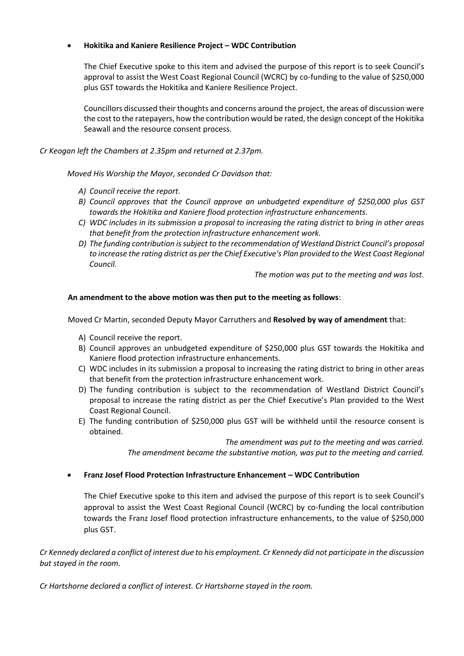#### **Hokitika and Kaniere Resilience Project – WDC Contribution**

The Chief Executive spoke to this item and advised the purpose of this report is to seek Council's approval to assist the West Coast Regional Council (WCRC) by co-funding to the value of \$250,000 plus GST towards the Hokitika and Kaniere Resilience Project.

Councillors discussed their thoughts and concerns around the project, the areas of discussion were the cost to the ratepayers, how the contribution would be rated, the design concept of the Hokitika Seawall and the resource consent process.

*Cr Keogan left the Chambers at 2.35pm and returned at 2.37pm.*

*Moved His Worship the Mayor, seconded Cr Davidson that:*

- *A) Council receive the report.*
- *B) Council approves that the Council approve an unbudgeted expenditure of \$250,000 plus GST towards the Hokitika and Kaniere flood protection infrastructure enhancements.*
- *C) WDC includes in its submission a proposal to increasing the rating district to bring in other areas that benefit from the protection infrastructure enhancement work.*
- *D) The funding contribution is subject to the recommendation of Westland District Council's proposal to increase the rating district as per the Chief Executive's Plan provided to the West Coast Regional Council.*

*The motion was put to the meeting and was lost.*

#### **An amendment to the above motion was then put to the meeting as follows**:

Moved Cr Martin, seconded Deputy Mayor Carruthers and **Resolved by way of amendment** that:

- A) Council receive the report.
- B) Council approves an unbudgeted expenditure of \$250,000 plus GST towards the Hokitika and Kaniere flood protection infrastructure enhancements.
- C) WDC includes in its submission a proposal to increasing the rating district to bring in other areas that benefit from the protection infrastructure enhancement work.
- D) The funding contribution is subject to the recommendation of Westland District Council's proposal to increase the rating district as per the Chief Executive's Plan provided to the West Coast Regional Council.
- E) The funding contribution of \$250,000 plus GST will be withheld until the resource consent is obtained.

*The amendment was put to the meeting and was carried. The amendment became the substantive motion, was put to the meeting and carried.*

**Franz Josef Flood Protection Infrastructure Enhancement – WDC Contribution**

The Chief Executive spoke to this item and advised the purpose of this report is to seek Council's approval to assist the West Coast Regional Council (WCRC) by co-funding the local contribution towards the Franz Josef flood protection infrastructure enhancements, to the value of \$250,000 plus GST.

*Cr Kennedy declared a conflict of interest due to his employment. Cr Kennedy did not participate in the discussion but stayed in the room.*

*Cr Hartshorne declared a conflict of interest. Cr Hartshorne stayed in the room.*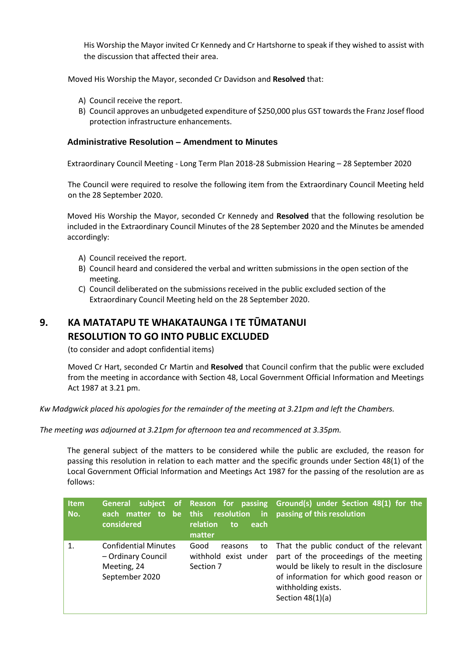His Worship the Mayor invited Cr Kennedy and Cr Hartshorne to speak if they wished to assist with the discussion that affected their area.

Moved His Worship the Mayor, seconded Cr Davidson and **Resolved** that:

- A) Council receive the report.
- B) Council approves an unbudgeted expenditure of \$250,000 plus GST towards the Franz Josef flood protection infrastructure enhancements.

#### **Administrative Resolution – Amendment to Minutes**

Extraordinary Council Meeting - Long Term Plan 2018-28 Submission Hearing – 28 September 2020

The Council were required to resolve the following item from the Extraordinary Council Meeting held on the 28 September 2020.

Moved His Worship the Mayor, seconded Cr Kennedy and **Resolved** that the following resolution be included in the Extraordinary Council Minutes of the 28 September 2020 and the Minutes be amended accordingly:

- A) Council received the report.
- B) Council heard and considered the verbal and written submissions in the open section of the meeting.
- C) Council deliberated on the submissions received in the public excluded section of the Extraordinary Council Meeting held on the 28 September 2020.

# **9. KA MATATAPU TE WHAKATAUNGA I TE TŪMATANUI RESOLUTION TO GO INTO PUBLIC EXCLUDED**

(to consider and adopt confidential items)

 Moved Cr Hart, seconded Cr Martin and **Resolved** that Council confirm that the public were excluded from the meeting in accordance with Section 48, Local Government Official Information and Meetings Act 1987 at 3.21 pm.

*Kw Madgwick placed his apologies for the remainder of the meeting at 3.21pm and left the Chambers.*

*The meeting was adjourned at 3.21pm for afternoon tea and recommenced at 3.35pm.*

The general subject of the matters to be considered while the public are excluded, the reason for passing this resolution in relation to each matter and the specific grounds under Section 48(1) of the Local Government Official Information and Meetings Act 1987 for the passing of the resolution are as follows:

| <b>Item</b><br>No. | <b>General</b><br>considered                                                       | relation<br>each<br>to<br>matter                           | subject of Reason for passing Ground(s) under Section 48(1) for the<br>$e$ each matter to be this resolution in passing of this resolution                                                                               |
|--------------------|------------------------------------------------------------------------------------|------------------------------------------------------------|--------------------------------------------------------------------------------------------------------------------------------------------------------------------------------------------------------------------------|
| $\mathbf{1}$       | <b>Confidential Minutes</b><br>- Ordinary Council<br>Meeting, 24<br>September 2020 | Good<br>to<br>reasons<br>withhold exist under<br>Section 7 | That the public conduct of the relevant<br>part of the proceedings of the meeting<br>would be likely to result in the disclosure<br>of information for which good reason or<br>withholding exists.<br>Section $48(1)(a)$ |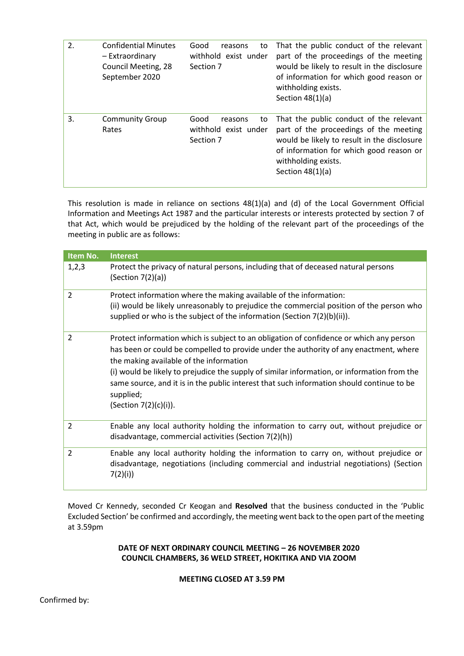| 2. | <b>Confidential Minutes</b><br>- Extraordinary<br>Council Meeting, 28<br>September 2020 | Good<br>to<br>reasons<br>withhold exist under<br>Section 7 | That the public conduct of the relevant<br>part of the proceedings of the meeting<br>would be likely to result in the disclosure<br>of information for which good reason or<br>withholding exists.<br>Section $48(1)(a)$ |
|----|-----------------------------------------------------------------------------------------|------------------------------------------------------------|--------------------------------------------------------------------------------------------------------------------------------------------------------------------------------------------------------------------------|
| 3. | <b>Community Group</b><br>Rates                                                         | Good<br>to<br>reasons<br>withhold exist under<br>Section 7 | That the public conduct of the relevant<br>part of the proceedings of the meeting<br>would be likely to result in the disclosure<br>of information for which good reason or<br>withholding exists.<br>Section $48(1)(a)$ |

This resolution is made in reliance on sections 48(1)(a) and (d) of the Local Government Official Information and Meetings Act 1987 and the particular interests or interests protected by section 7 of that Act, which would be prejudiced by the holding of the relevant part of the proceedings of the meeting in public are as follows:

| Item No.       | <b>Interest</b>                                                                                                                                                                                                                                                                                                                                                                                                                                                  |
|----------------|------------------------------------------------------------------------------------------------------------------------------------------------------------------------------------------------------------------------------------------------------------------------------------------------------------------------------------------------------------------------------------------------------------------------------------------------------------------|
| 1,2,3          | Protect the privacy of natural persons, including that of deceased natural persons<br>(Section 7(2)(a))                                                                                                                                                                                                                                                                                                                                                          |
| $\overline{2}$ | Protect information where the making available of the information:<br>(ii) would be likely unreasonably to prejudice the commercial position of the person who<br>supplied or who is the subject of the information (Section $7(2)(b)(ii)$ ).                                                                                                                                                                                                                    |
| $\overline{2}$ | Protect information which is subject to an obligation of confidence or which any person<br>has been or could be compelled to provide under the authority of any enactment, where<br>the making available of the information<br>(i) would be likely to prejudice the supply of similar information, or information from the<br>same source, and it is in the public interest that such information should continue to be<br>supplied;<br>(Section $7(2)(c)(i)$ ). |
| $\overline{2}$ | Enable any local authority holding the information to carry out, without prejudice or<br>disadvantage, commercial activities (Section 7(2)(h))                                                                                                                                                                                                                                                                                                                   |
| $\overline{2}$ | Enable any local authority holding the information to carry on, without prejudice or<br>disadvantage, negotiations (including commercial and industrial negotiations) (Section<br>7(2)(i)                                                                                                                                                                                                                                                                        |

Moved Cr Kennedy, seconded Cr Keogan and **Resolved** that the business conducted in the 'Public Excluded Section' be confirmed and accordingly, the meeting went back to the open part of the meeting at 3.59pm

#### **DATE OF NEXT ORDINARY COUNCIL MEETING – 26 NOVEMBER 2020 COUNCIL CHAMBERS, 36 WELD STREET, HOKITIKA AND VIA ZOOM**

#### **MEETING CLOSED AT 3.59 PM**